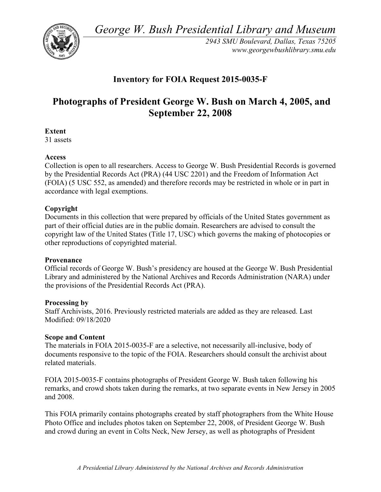*George W. Bush Presidential Library and Museum* 



 *2943 SMU Boulevard, Dallas, Texas 75205 <www.georgewbushlibrary.smu.edu>*

# **Inventory for FOIA Request 2015-0035-F**

# **Photographs of President George W. Bush on March 4, 2005, and September 22, 2008**

#### **Extent**

31 assets

### **Access**

 by the Presidential Records Act (PRA) (44 USC 2201) and the Freedom of Information Act Collection is open to all researchers. Access to George W. Bush Presidential Records is governed (FOIA) (5 USC 552, as amended) and therefore records may be restricted in whole or in part in accordance with legal exemptions.

## **Copyright**

 Documents in this collection that were prepared by officials of the United States government as part of their official duties are in the public domain. Researchers are advised to consult the copyright law of the United States (Title 17, USC) which governs the making of photocopies or other reproductions of copyrighted material.

#### **Provenance**

 Official records of George W. Bush's presidency are housed at the George W. Bush Presidential Library and administered by the National Archives and Records Administration (NARA) under the provisions of the Presidential Records Act (PRA).

#### **Processing by**

 Modified: 09/18/2020 Staff Archivists, 2016. Previously restricted materials are added as they are released. Last

#### **Scope and Content**

 The materials in FOIA 2015-0035-F are a selective, not necessarily all-inclusive, body of documents responsive to the topic of the FOIA. Researchers should consult the archivist about related materials.

 FOIA 2015-0035-F contains photographs of President George W. Bush taken following his remarks, and crowd shots taken during the remarks, at two separate events in New Jersey in 2005 and 2008.

 and crowd during an event in Colts Neck, New Jersey, as well as photographs of President This FOIA primarily contains photographs created by staff photographers from the White House Photo Office and includes photos taken on September 22, 2008, of President George W. Bush